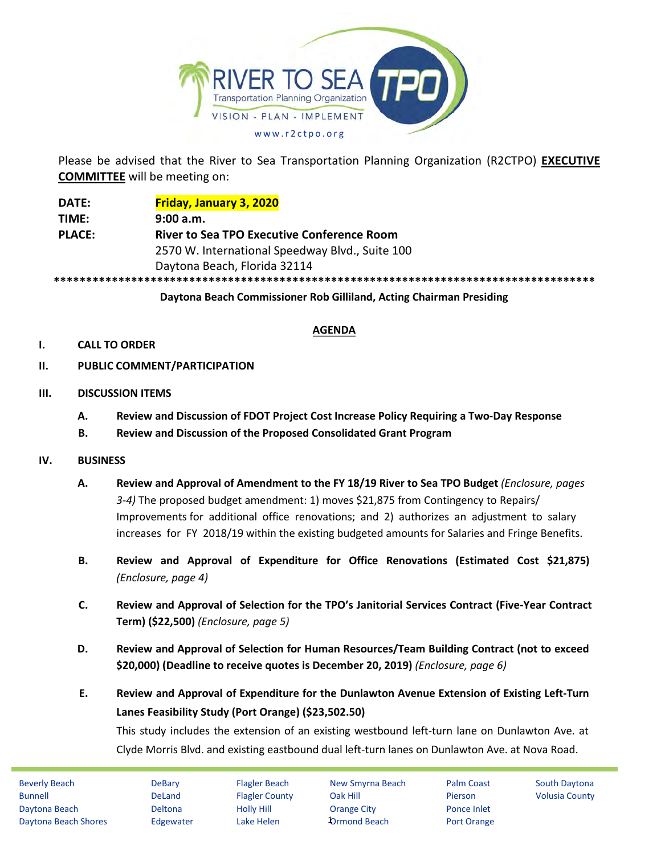

Please be advised that the River to Sea Transportation Planning Organization (R2CTPO) **EXECUTIVE COMMITTEE** will be meeting on:

**DATE: Friday, January 3, 2020 TIME: 9:00 a.m. PLACE: River to Sea TPO Executive Conference Room** 2570 W. International Speedway Blvd., Suite 100 Daytona Beach, Florida 32114 **\*\*\*\*\*\*\*\*\*\*\*\*\*\*\*\*\*\*\*\*\*\*\*\*\*\*\*\*\*\*\*\*\*\*\*\*\*\*\*\*\*\*\*\*\*\*\*\*\*\*\*\*\*\*\*\*\*\*\*\*\*\*\*\*\*\*\*\*\*\*\*\*\*\*\*\*\*\*\*\*\*\*\*\***

**Daytona Beach Commissioner Rob Gilliland, Acting Chairman Presiding**

## **AGENDA**

## **I. CALL TO ORDER**

- **II. PUBLIC COMMENT/PARTICIPATION**
- **III. DISCUSSION ITEMS**
	- **A. Review and Discussion of FDOT Project Cost Increase Policy Requiring a Two-Day Response**
	- **B. Review and Discussion of the Proposed Consolidated Grant Program**
- **IV. BUSINESS**
	- **A. Review and Approval of Amendment to the FY 18/19 River to Sea TPO Budget** *(Enclosure, pages 3-4)* The proposed budget amendment: 1) moves \$21,875 from Contingency to Repairs/ Improvements for additional office renovations; and 2) authorizes an adjustment to salary increases for FY 2018/19 within the existing budgeted amounts for Salaries and Fringe Benefits.
	- **B. Review and Approval of Expenditure for Office Renovations (Estimated Cost \$21,875)** *(Enclosure, page 4)*
	- **C. Review and Approval of Selection for the TPO's Janitorial Services Contract (Five-Year Contract Term) (\$22,500)** *(Enclosure, page 5)*
	- **D. Review and Approval of Selection for Human Resources/Team Building Contract (not to exceed \$20,000) (Deadline to receive quotes is December 20, 2019)** *(Enclosure, page 6)*
	- **E. Review and Approval of Expenditure for the Dunlawton Avenue Extension of Existing Left-Turn Lanes Feasibility Study (Port Orange) (\$23,502.50)**

This study includes the extension of an existing westbound left-turn lane on Dunlawton Ave. at Clyde Morris Blvd. and existing eastbound dual left-turn lanes on Dunlawton Ave. at Nova Road.

| <b>Beverly Beach</b> | <b>DeBary</b>  | <b>Flagler Beach</b>  | New Smyrna Beach    | <b>Palm Coast</b> | <b>South Daytona</b>  |
|----------------------|----------------|-----------------------|---------------------|-------------------|-----------------------|
| Bunnell              | DeLand         | <b>Flagler County</b> | Oak Hill            | Pierson           | <b>Volusia County</b> |
| Daytona Beach        | <b>Deltona</b> | <b>Holly Hill</b>     | Orange City         | Ponce Inlet       |                       |
| Daytona Beach Shores | Edgewater      | Lake Helen            | <b>Ormond Beach</b> | Port Orange       |                       |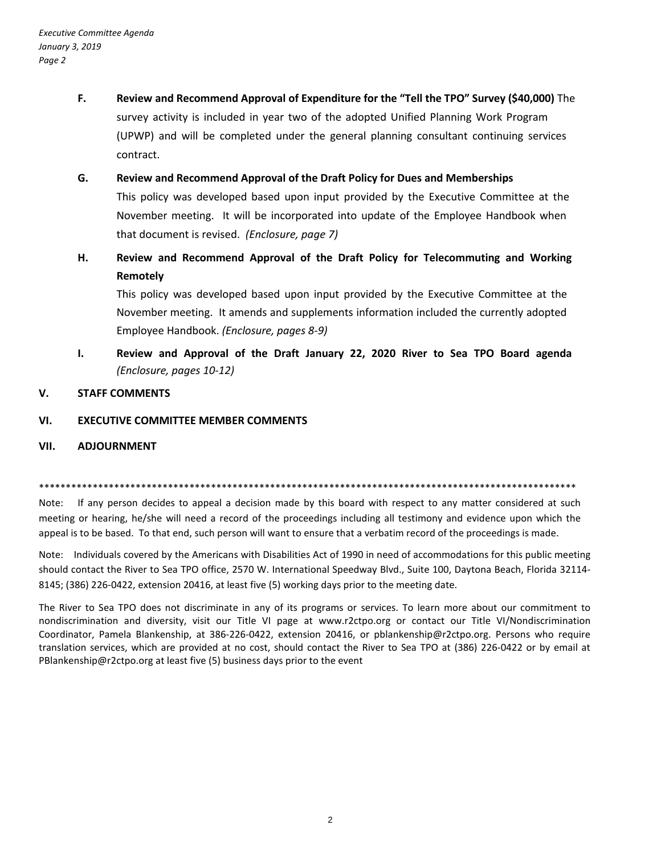- **F. Review and Recommend Approval of Expenditure for the "Tell the TPO" Survey (\$40,000)** The survey activity is included in year two of the adopted Unified Planning Work Program (UPWP) and will be completed under the general planning consultant continuing services contract.
- **G. Review and Recommend Approval of the Draft Policy for Dues and Memberships** This policy was developed based upon input provided by the Executive Committee at the November meeting. It will be incorporated into update of the Employee Handbook when that document is revised. *(Enclosure, page 7)*
- **H. Review and Recommend Approval of the Draft Policy for Telecommuting and Working Remotely**

This policy was developed based upon input provided by the Executive Committee at the November meeting. It amends and supplements information included the currently adopted Employee Handbook. *(Enclosure, pages 8-9)*

**I. Review and Approval of the Draft January 22, 2020 River to Sea TPO Board agenda** *(Enclosure, pages 10-12)*

### **V. STAFF COMMENTS**

### **VI. EXECUTIVE COMMITTEE MEMBER COMMENTS**

#### **VII. ADJOURNMENT**

\*\*\*\*\*\*\*\*\*\*\*\*\*\*\*\*\*\*\*\*\*\*\*\*\*\*\*\*\*\*\*\*\*\*\*\*\*\*\*\*\*\*\*\*\*\*\*\*\*\*\*\*\*\*\*\*\*\*\*\*\*\*\*\*\*\*\*\*\*\*\*\*\*\*\*\*\*\*\*\*\*\*\*\*\*\*\*\*\*\*\*\*\*\*\*\*\*\*\*\*

Note: If any person decides to appeal a decision made by this board with respect to any matter considered at such meeting or hearing, he/she will need a record of the proceedings including all testimony and evidence upon which the appeal is to be based. To that end, such person will want to ensure that a verbatim record of the proceedings is made.

Note: Individuals covered by the Americans with Disabilities Act of 1990 in need of accommodations for this public meeting should contact the River to Sea TPO office, 2570 W. International Speedway Blvd., Suite 100, Daytona Beach, Florida 32114- 8145; (386) 226-0422, extension 20416, at least five (5) working days prior to the meeting date.

The River to Sea TPO does not discriminate in any of its programs or services. To learn more about our commitment to nondiscrimination and diversity, visit our Title VI page at www.r2ctpo.org or contact our Title VI/Nondiscrimination Coordinator, Pamela Blankenship, at 386-226-0422, extension 20416, or pblankenship@r2ctpo.org. Persons who require translation services, which are provided at no cost, should contact the River to Sea TPO at (386) 226-0422 or by email at PBlankenship@r2ctpo.org at least five (5) business days prior to the event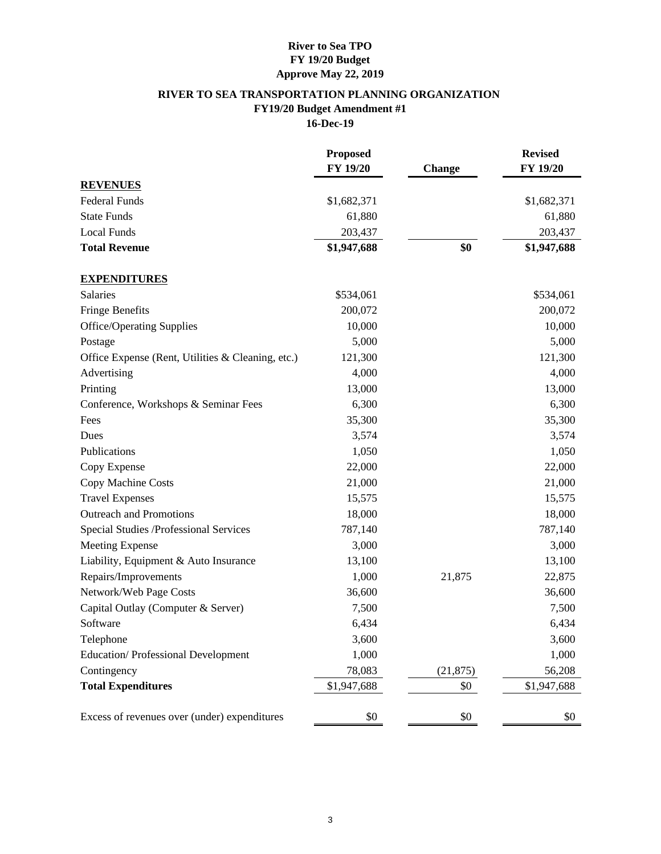## **River to Sea TPO FY 19/20 Budget Approve May 22, 2019**

## **RIVER TO SEA TRANSPORTATION PLANNING ORGANIZATION FY19/20 Budget Amendment #1 16-Dec-19**

|                                                   | <b>Proposed</b><br>FY 19/20 | Change    | <b>Revised</b><br>FY 19/20 |
|---------------------------------------------------|-----------------------------|-----------|----------------------------|
| <b>REVENUES</b>                                   |                             |           |                            |
| <b>Federal Funds</b>                              | \$1,682,371                 |           | \$1,682,371                |
| <b>State Funds</b>                                | 61,880                      |           | 61,880                     |
| <b>Local Funds</b>                                | 203,437                     |           | 203,437                    |
| <b>Total Revenue</b>                              | \$1,947,688                 | \$0       | \$1,947,688                |
| <b>EXPENDITURES</b>                               |                             |           |                            |
| Salaries                                          | \$534,061                   |           | \$534,061                  |
| <b>Fringe Benefits</b>                            | 200,072                     |           | 200,072                    |
| <b>Office/Operating Supplies</b>                  | 10,000                      |           | 10,000                     |
| Postage                                           | 5,000                       |           | 5,000                      |
| Office Expense (Rent, Utilities & Cleaning, etc.) | 121,300                     |           | 121,300                    |
| Advertising                                       | 4,000                       |           | 4,000                      |
| Printing                                          | 13,000                      |           | 13,000                     |
| Conference, Workshops & Seminar Fees              | 6,300                       |           | 6,300                      |
| Fees                                              | 35,300                      |           | 35,300                     |
| Dues                                              | 3,574                       |           | 3,574                      |
| Publications                                      | 1,050                       |           | 1,050                      |
| Copy Expense                                      | 22,000                      |           | 22,000                     |
| Copy Machine Costs                                | 21,000                      |           | 21,000                     |
| <b>Travel Expenses</b>                            | 15,575                      |           | 15,575                     |
| <b>Outreach and Promotions</b>                    | 18,000                      |           | 18,000                     |
| Special Studies /Professional Services            | 787,140                     |           | 787,140                    |
| <b>Meeting Expense</b>                            | 3,000                       |           | 3,000                      |
| Liability, Equipment & Auto Insurance             | 13,100                      |           | 13,100                     |
| Repairs/Improvements                              | 1,000                       | 21,875    | 22,875                     |
| Network/Web Page Costs                            | 36,600                      |           | 36,600                     |
| Capital Outlay (Computer & Server)                | 7,500                       |           | 7,500                      |
| Software                                          | 6,434                       |           | 6,434                      |
| Telephone                                         | 3,600                       |           | 3,600                      |
| <b>Education/Professional Development</b>         | 1,000                       |           | 1,000                      |
| Contingency                                       | 78,083                      | (21, 875) | 56,208                     |
| <b>Total Expenditures</b>                         | \$1,947,688                 | \$0       | \$1,947,688                |
| Excess of revenues over (under) expenditures      | \$0                         | \$0       | \$0                        |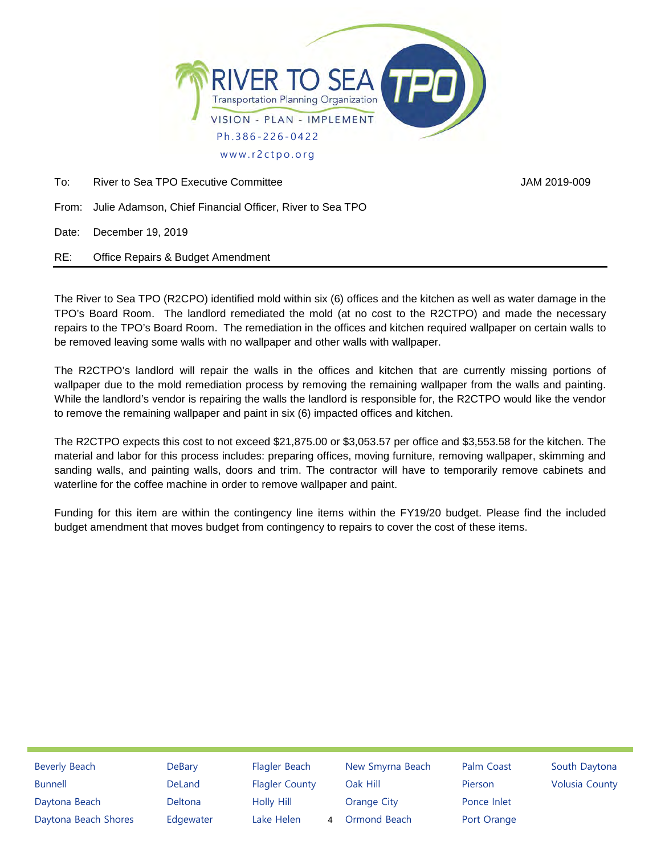

To: River to Sea TPO Executive Committee **Accord Contract Contract Contract Contract Contract Contract Contract Contract Contract Contract Contract Contract Contract Contract Contract Contract Contract Contract Contract Co** 

From: Julie Adamson, Chief Financial Officer, River to Sea TPO

Date: December 19, 2019

RE: Office Repairs & Budget Amendment

The River to Sea TPO (R2CPO) identified mold within six (6) offices and the kitchen as well as water damage in the TPO's Board Room. The landlord remediated the mold (at no cost to the R2CTPO) and made the necessary repairs to the TPO's Board Room. The remediation in the offices and kitchen required wallpaper on certain walls to be removed leaving some walls with no wallpaper and other walls with wallpaper.

The R2CTPO's landlord will repair the walls in the offices and kitchen that are currently missing portions of wallpaper due to the mold remediation process by removing the remaining wallpaper from the walls and painting. While the landlord's vendor is repairing the walls the landlord is responsible for, the R2CTPO would like the vendor to remove the remaining wallpaper and paint in six (6) impacted offices and kitchen.

The R2CTPO expects this cost to not exceed \$21,875.00 or \$3,053.57 per office and \$3,553.58 for the kitchen. The material and labor for this process includes: preparing offices, moving furniture, removing wallpaper, skimming and sanding walls, and painting walls, doors and trim. The contractor will have to temporarily remove cabinets and waterline for the coffee machine in order to remove wallpaper and paint.

Funding for this item are within the contingency line items within the FY19/20 budget. Please find the included budget amendment that moves budget from contingency to repairs to cover the cost of these items.

| <b>Beverly Beach</b> | DeBary    | Flagler Beach         |   | New Smyrna Beach   | Palm Coast  | South Daytona         |
|----------------------|-----------|-----------------------|---|--------------------|-------------|-----------------------|
| <b>Bunnell</b>       | DeLand    | <b>Flagler County</b> |   | Oak Hill           | Pierson     | <b>Volusia County</b> |
| Daytona Beach        | Deltona   | Holly Hill            |   | <b>Orange City</b> | Ponce Inlet |                       |
| Daytona Beach Shores | Edgewater | Lake Helen            | 4 | Ormond Beach       | Port Orange |                       |
|                      |           |                       |   |                    |             |                       |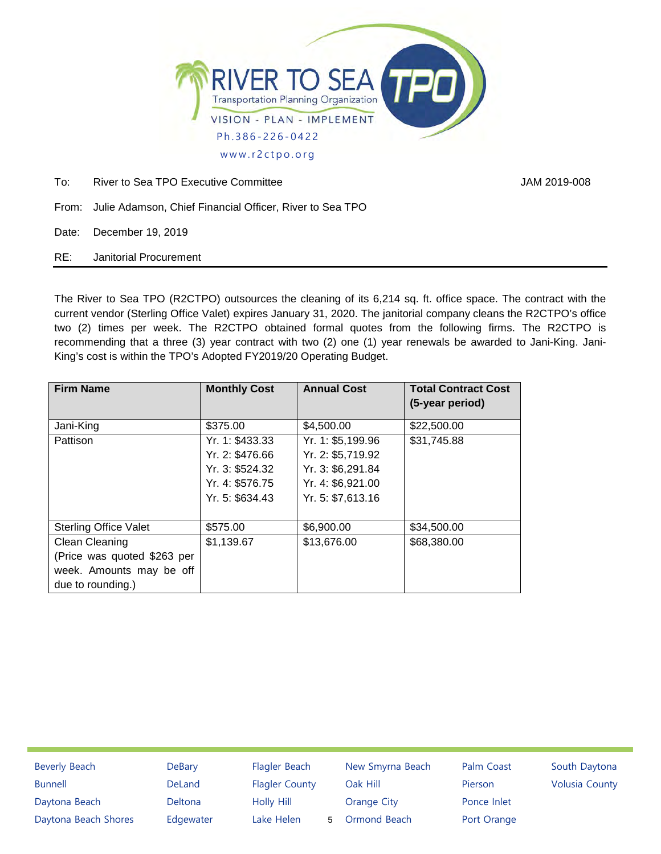

To: River to Sea TPO Executive Committee **Figure 1.1 and 2019-008** JAM 2019-008

- From: Julie Adamson, Chief Financial Officer, River to Sea TPO
- Date: December 19, 2019

RE: Janitorial Procurement

The River to Sea TPO (R2CTPO) outsources the cleaning of its 6,214 sq. ft. office space. The contract with the current vendor (Sterling Office Valet) expires January 31, 2020. The janitorial company cleans the R2CTPO's office two (2) times per week. The R2CTPO obtained formal quotes from the following firms. The R2CTPO is recommending that a three (3) year contract with two (2) one (1) year renewals be awarded to Jani-King. Jani-King's cost is within the TPO's Adopted FY2019/20 Operating Budget.

| <b>Firm Name</b>                                                                               | <b>Monthly Cost</b>                                                                         | <b>Annual Cost</b>                                                                                    | <b>Total Contract Cost</b><br>(5-year period) |
|------------------------------------------------------------------------------------------------|---------------------------------------------------------------------------------------------|-------------------------------------------------------------------------------------------------------|-----------------------------------------------|
| Jani-King                                                                                      | \$375.00                                                                                    | \$4,500.00                                                                                            | \$22,500.00                                   |
| Pattison                                                                                       | Yr. 1: \$433.33<br>Yr. 2: \$476.66<br>Yr. 3: \$524.32<br>Yr. 4: \$576.75<br>Yr. 5: \$634.43 | Yr. 1: \$5,199.96<br>Yr. 2: \$5,719.92<br>Yr. 3: \$6,291.84<br>Yr. 4: \$6,921.00<br>Yr. 5: \$7,613.16 | \$31,745.88                                   |
| <b>Sterling Office Valet</b>                                                                   | \$575.00                                                                                    | \$6,900.00                                                                                            | \$34,500.00                                   |
| Clean Cleaning<br>(Price was quoted \$263 per<br>week. Amounts may be off<br>due to rounding.) | \$1,139.67                                                                                  | \$13,676.00                                                                                           | \$68,380.00                                   |

| <b>DeBary</b> | Flagler Beach         |   | New Smyrna Beach   | Palm Coast  | South Daytona         |
|---------------|-----------------------|---|--------------------|-------------|-----------------------|
| DeLand        | <b>Flagler County</b> |   | Oak Hill           | Pierson     | <b>Volusia County</b> |
| Deltona       | <b>Holly Hill</b>     |   | <b>Orange City</b> | Ponce Inlet |                       |
| Edgewater     | Lake Helen            | 5 | Ormond Beach       | Port Orange |                       |
|               |                       |   |                    |             |                       |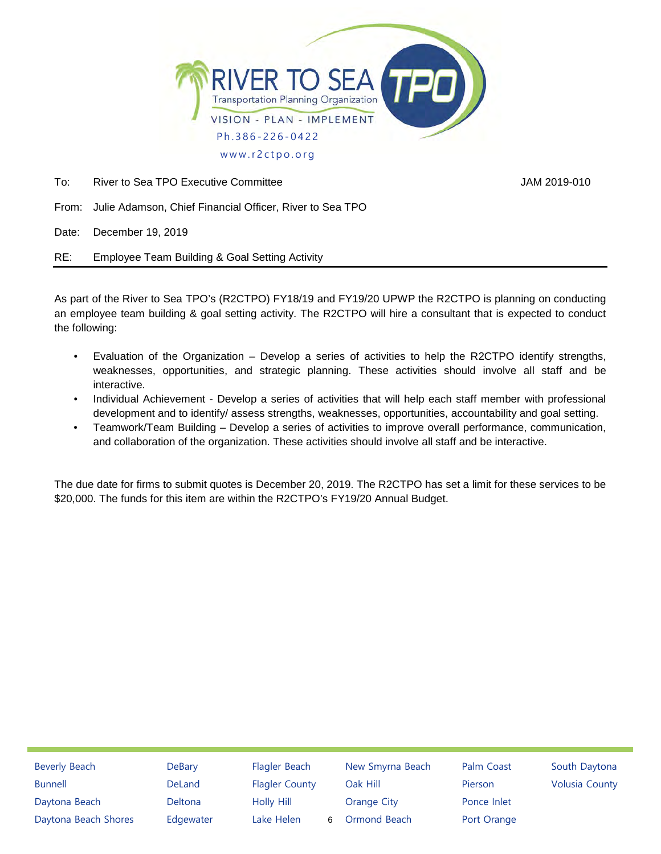

To: River to Sea TPO Executive Committee **Accord Contract Contract Contract Contract Contract Contract Contract Contract Contract Contract Contract Contract Contract Contract Contract Contract Contract Contract Contract Co** 

From: Julie Adamson, Chief Financial Officer, River to Sea TPO

Date: December 19, 2019

RE: Employee Team Building & Goal Setting Activity

As part of the River to Sea TPO's (R2CTPO) FY18/19 and FY19/20 UPWP the R2CTPO is planning on conducting an employee team building & goal setting activity. The R2CTPO will hire a consultant that is expected to conduct the following:

- Evaluation of the Organization Develop a series of activities to help the R2CTPO identify strengths, weaknesses, opportunities, and strategic planning. These activities should involve all staff and be interactive.
- Individual Achievement Develop a series of activities that will help each staff member with professional development and to identify/ assess strengths, weaknesses, opportunities, accountability and goal setting.
- Teamwork/Team Building Develop a series of activities to improve overall performance, communication, and collaboration of the organization. These activities should involve all staff and be interactive.

The due date for firms to submit quotes is December 20, 2019. The R2CTPO has set a limit for these services to be \$20,000. The funds for this item are within the R2CTPO's FY19/20 Annual Budget.

| <b>Beverly Beach</b> | <b>DeBary</b>  | Flagler Beach         |   | New Smyrna Beach   | Palm Coast  | South Daytona         |
|----------------------|----------------|-----------------------|---|--------------------|-------------|-----------------------|
| <b>Bunnell</b>       | <b>DeLand</b>  | <b>Flagler County</b> |   | Oak Hill           | Pierson     | <b>Volusia County</b> |
| Daytona Beach        | <b>Deltona</b> | Holly Hill            |   | <b>Orange City</b> | Ponce Inlet |                       |
| Daytona Beach Shores | Edgewater      | Lake Helen            | 6 | Ormond Beach       | Port Orange |                       |
|                      |                |                       |   |                    |             |                       |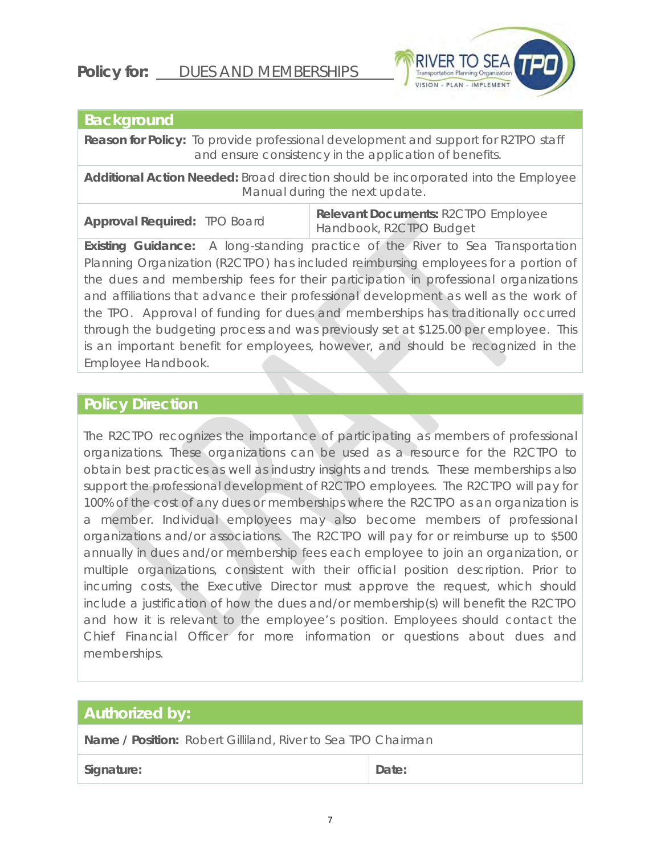# **Policy for:** DUES AND MEMBERSHIPS



# **Background**

**Reason for Policy:** To provide professional development and support for R2TPO staff and ensure consistency in the application of benefits.

**Additional Action Needed:** Broad direction should be incorporated into the Employee Manual during the next update.

**Approval Required:** TPO Board **Relevant Documents:** R2CTPO Employee Handbook, R2CTPO Budget

**Existing Guidance:** A long-standing practice of the River to Sea Transportation Planning Organization (R2CTPO) has included reimbursing employees for a portion of the dues and membership fees for their participation in professional organizations and affiliations that advance their professional development as well as the work of the TPO. Approval of funding for dues and memberships has traditionally occurred through the budgeting process and was previously set at \$125.00 per employee. This is an important benefit for employees, however, and should be recognized in the Employee Handbook.

# **Policy Direction**

The R2CTPO recognizes the importance of participating as members of professional organizations. These organizations can be used as a resource for the R2CTPO to obtain best practices as well as industry insights and trends. These memberships also support the professional development of R2CTPO employees. The R2CTPO will pay for 100% of the cost of any dues or memberships where the R2CTPO as an organization is a member. Individual employees may also become members of professional organizations and/or associations. The R2CTPO will pay for or reimburse up to \$500 annually in dues and/or membership fees each employee to join an organization, or multiple organizations, consistent with their official position description. Prior to incurring costs, the Executive Director must approve the request, which should include a justification of how the dues and/or membership(s) will benefit the R2CTPO and how it is relevant to the employee's position. Employees should contact the Chief Financial Officer for more information or questions about dues and memberships.

# **Authorized by:**

**Name / Position:** Robert Gilliland, River to Sea TPO Chairman

Signature: **Date: Date: Date: Date:**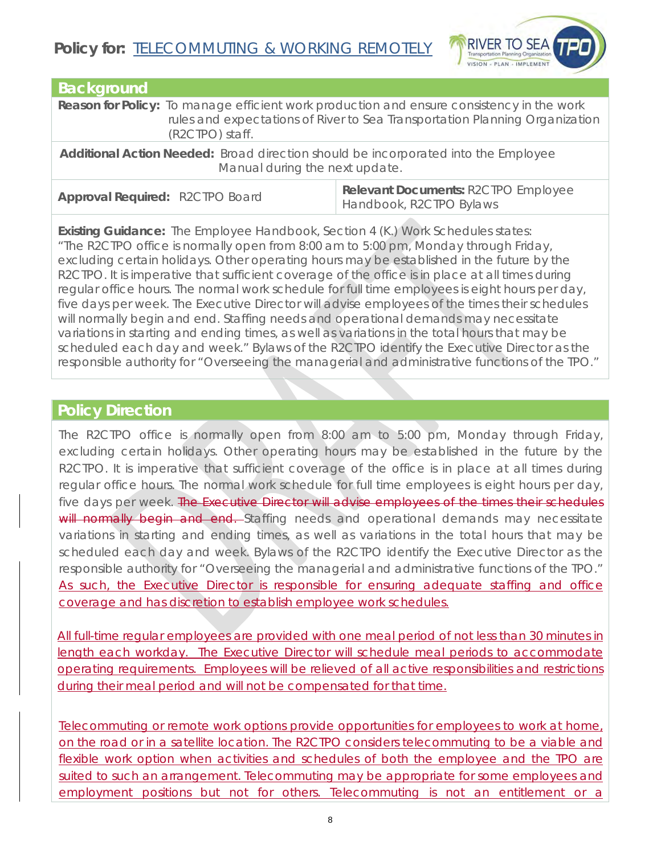

| <b>Background</b> |                                                                                                                                                                                 |
|-------------------|---------------------------------------------------------------------------------------------------------------------------------------------------------------------------------|
|                   | <b>Reason for Policy:</b> To manage efficient work production and ensure consistency in the work<br>rules and expectations of River to Sea Transportation Planning Organization |
|                   | (R2CTPO) staff.                                                                                                                                                                 |

**Additional Action Needed:** Broad direction should be incorporated into the Employee Manual during the next update.

**Approval Required:** R2CTPO Board **Relevant Documents:** R2CTPO Employee Handbook, R2CTPO Bylaws

**Existing Guidance:** The Employee Handbook, Section 4 (K.) Work Schedules states: "The R2CTPO office is normally open from 8:00 am to 5:00 pm, Monday through Friday, excluding certain holidays. Other operating hours may be established in the future by the R2CTPO. It is imperative that sufficient coverage of the office is in place at all times during regular office hours. The normal work schedule for full time employees is eight hours per day, five days per week. The Executive Director will advise employees of the times their schedules will normally begin and end. Staffing needs and operational demands may necessitate variations in starting and ending times, as well as variations in the total hours that may be scheduled each day and week." Bylaws of the R2CTPO identify the Executive Director as the responsible authority for "Overseeing the managerial and administrative functions of the TPO."

# **Policy Direction**

The R2CTPO office is normally open from 8:00 am to 5:00 pm, Monday through Friday, excluding certain holidays. Other operating hours may be established in the future by the R2CTPO. It is imperative that sufficient coverage of the office is in place at all times during regular office hours. The normal work schedule for full time employees is eight hours per day, five days per week. The Executive Director will advise employees of the times their schedules will normally begin and end. Staffing needs and operational demands may necessitate variations in starting and ending times, as well as variations in the total hours that may be scheduled each day and week. Bylaws of the R2CTPO identify the Executive Director as the responsible authority for "Overseeing the managerial and administrative functions of the TPO." As such, the Executive Director is responsible for ensuring adequate staffing and office coverage and has discretion to establish employee work schedules.

All full-time regular employees are provided with one meal period of not less than 30 minutes in length each workday. The Executive Director will schedule meal periods to accommodate operating requirements. Employees will be relieved of all active responsibilities and restrictions during their meal period and will not be compensated for that time.

Telecommuting or remote work options provide opportunities for employees to work at home, on the road or in a satellite location. The R2CTPO considers telecommuting to be a viable and flexible work option when activities and schedules of both the employee and the TPO are suited to such an arrangement. Telecommuting may be appropriate for some employees and employment positions but not for others. Telecommuting is not an entitlement or a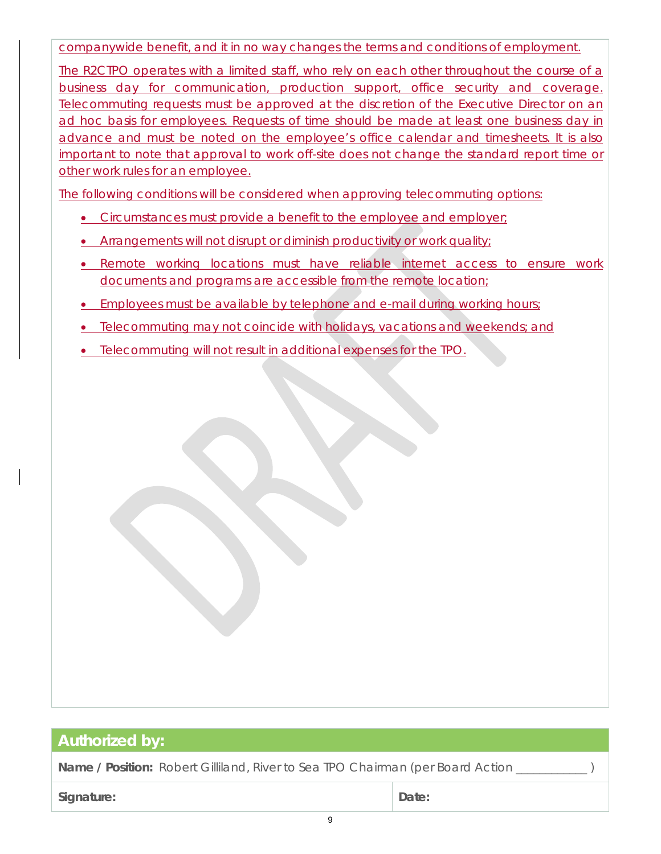companywide benefit, and it in no way changes the terms and conditions of employment.

The R2CTPO operates with a limited staff, who rely on each other throughout the course of a business day for communication, production support, office security and coverage. Telecommuting requests must be approved at the discretion of the Executive Director on an ad hoc basis for employees. Requests of time should be made at least one business day in advance and must be noted on the employee's office calendar and timesheets. It is also important to note that approval to work off-site does not change the standard report time or other work rules for an employee.

The following conditions will be considered when approving telecommuting options:

- Circumstances must provide a benefit to the employee and employer;
- Arrangements will not disrupt or diminish productivity or work quality;
- Remote working locations must have reliable internet access to ensure work documents and programs are accessible from the remote location;
- Employees must be available by telephone and e-mail during working hours;
- Telecommuting may not coincide with holidays, vacations and weekends; and
- Telecommuting will not result in additional expenses for the TPO.

# **Authorized by:**

**Name / Position:** Robert Gilliland, River to Sea TPO Chairman (per Board Action )

**Signature: Date:**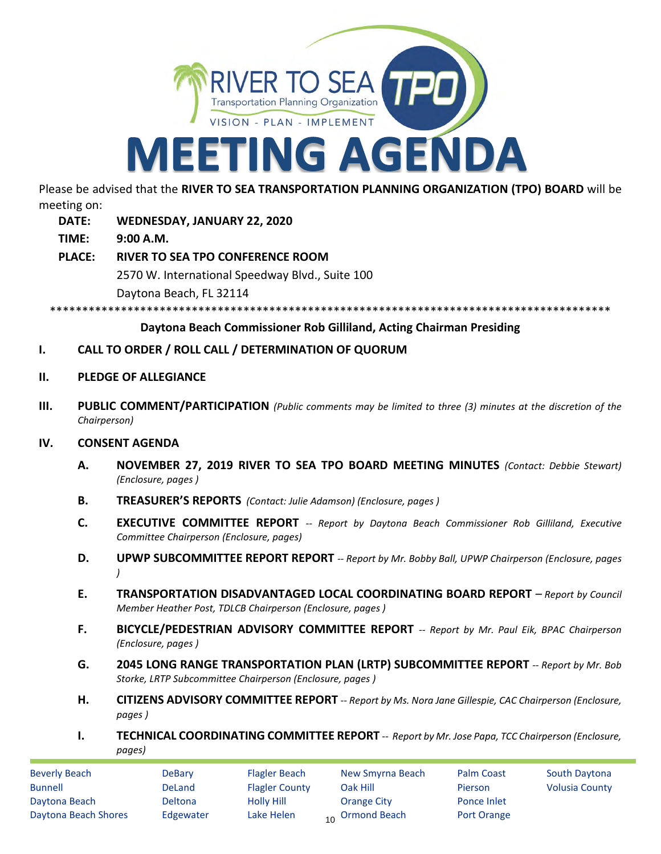

Please be advised that the **RIVER TO SEA TRANSPORTATION PLANNING ORGANIZATION (TPO) BOARD** will be meeting on:

- **DATE: WEDNESDAY, JANUARY 22, 2020**
- **TIME: 9:00 A.M.**
- **PLACE: RIVER TO SEA TPO CONFERENCE ROOM** 2570 W. International Speedway Blvd., Suite 100 Daytona Beach, FL 32114

\*\*\*\*\*\*\*\*\*\*\*\*\*\*\*\*\*\*\*\*\*\*\*\*\*\*\*\*\*\*\*\*\*\*\*\*\*\*\*\*\*\*\*\*\*\*\*\*\*\*\*\*\*\*\*\*\*\*\*\*\*\*\*\*\*\*\*\*\*\*\*\*\*\*\*\*\*\*\*\*\*\*\*\*\*\*\*

## **Daytona Beach Commissioner Rob Gilliland, Acting Chairman Presiding**

- **I. CALL TO ORDER / ROLL CALL / DETERMINATION OF QUORUM**
- **II. PLEDGE OF ALLEGIANCE**
- **III. PUBLIC COMMENT/PARTICIPATION** *(Public comments may be limited to three (3) minutes at the discretion of the Chairperson)*

### **IV. CONSENT AGENDA**

- **A. NOVEMBER 27, 2019 RIVER TO SEA TPO BOARD MEETING MINUTES** *(Contact: Debbie Stewart) (Enclosure, pages )*
- **B. TREASURER'S REPORTS** *(Contact: Julie Adamson) (Enclosure, pages )*
- **C. EXECUTIVE COMMITTEE REPORT** *-- Report by Daytona Beach Commissioner Rob Gilliland, Executive Committee Chairperson (Enclosure, pages)*
- **D. UPWP SUBCOMMITTEE REPORT REPORT** *-- Report by Mr. Bobby Ball, UPWP Chairperson (Enclosure, pages )*
- **E. TRANSPORTATION DISADVANTAGED LOCAL COORDINATING BOARD REPORT** *– Report by Council Member Heather Post, TDLCB Chairperson (Enclosure, pages )*
- **F. BICYCLE/PEDESTRIAN ADVISORY COMMITTEE REPORT** *-- Report by Mr. Paul Eik, BPAC Chairperson (Enclosure, pages )*
- **G. 2045 LONG RANGE TRANSPORTATION PLAN (LRTP) SUBCOMMITTEE REPORT** *-- Report by Mr. Bob Storke, LRTP Subcommittee Chairperson (Enclosure, pages )*
- **H. CITIZENS ADVISORY COMMITTEE REPORT** *-- Report by Ms. Nora Jane Gillespie, CAC Chairperson (Enclosure, pages )*
- **I. TECHNICAL COORDINATING COMMITTEE REPORT** *-- Report by Mr. Jose Papa, TCC Chairperson (Enclosure, pages)*

| <b>Beverly Beach</b> | DeBary         | <b>Flagler Beach</b>  | New Smyrna Beach           | <b>Palm Coast</b> | <b>South Daytona</b>  |
|----------------------|----------------|-----------------------|----------------------------|-------------------|-----------------------|
| <b>Bunnell</b>       | DeLand         | <b>Flagler County</b> | Oak Hill                   | Pierson           | <b>Volusia County</b> |
| Daytona Beach        | <b>Deltona</b> | Holly Hill            | Orange City                | Ponce Inlet       |                       |
| Daytona Beach Shores | Edgewater      | Lake Helen            | <sub>10</sub> Ormond Beach | Port Orange       |                       |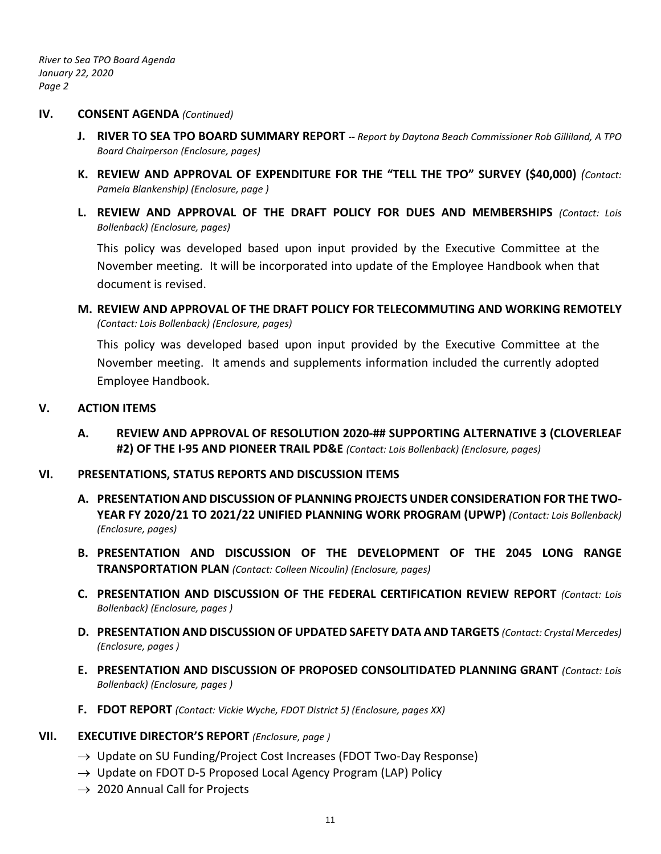*River to Sea TPO Board Agenda January 22, 2020 Page 2*

#### **IV. CONSENT AGENDA** *(Continued)*

- **J. RIVER TO SEA TPO BOARD SUMMARY REPORT** *-- Report by Daytona Beach Commissioner Rob Gilliland, A TPO Board Chairperson (Enclosure, pages)*
- **K. REVIEW AND APPROVAL OF EXPENDITURE FOR THE "TELL THE TPO" SURVEY (\$40,000)** *(Contact: Pamela Blankenship) (Enclosure, page )*
- **L. REVIEW AND APPROVAL OF THE DRAFT POLICY FOR DUES AND MEMBERSHIPS** *(Contact: Lois Bollenback) (Enclosure, pages)*

This policy was developed based upon input provided by the Executive Committee at the November meeting. It will be incorporated into update of the Employee Handbook when that document is revised.

**M. REVIEW AND APPROVAL OF THE DRAFT POLICY FOR TELECOMMUTING AND WORKING REMOTELY**  *(Contact: Lois Bollenback) (Enclosure, pages)*

This policy was developed based upon input provided by the Executive Committee at the November meeting. It amends and supplements information included the currently adopted Employee Handbook.

### **V. ACTION ITEMS**

**A. REVIEW AND APPROVAL OF RESOLUTION 2020-## SUPPORTING ALTERNATIVE 3 (CLOVERLEAF #2) OF THE I-95 AND PIONEER TRAIL PD&E** *(Contact: Lois Bollenback) (Enclosure, pages)*

### **VI. PRESENTATIONS, STATUS REPORTS AND DISCUSSION ITEMS**

- **A. PRESENTATION AND DISCUSSION OF PLANNING PROJECTS UNDER CONSIDERATION FOR THE TWO-YEAR FY 2020/21 TO 2021/22 UNIFIED PLANNING WORK PROGRAM (UPWP)** *(Contact: Lois Bollenback) (Enclosure, pages)*
- **B. PRESENTATION AND DISCUSSION OF THE DEVELOPMENT OF THE 2045 LONG RANGE TRANSPORTATION PLAN** *(Contact: Colleen Nicoulin) (Enclosure, pages)*
- **C. PRESENTATION AND DISCUSSION OF THE FEDERAL CERTIFICATION REVIEW REPORT** *(Contact: Lois Bollenback) (Enclosure, pages )*
- **D. PRESENTATION AND DISCUSSION OF UPDATED SAFETY DATA AND TARGETS** *(Contact: Crystal Mercedes) (Enclosure, pages )*
- **E. PRESENTATION AND DISCUSSION OF PROPOSED CONSOLITIDATED PLANNING GRANT** *(Contact: Lois Bollenback) (Enclosure, pages )*
- **F. FDOT REPORT** *(Contact: Vickie Wyche, FDOT District 5) (Enclosure, pages XX)*

## **VII. EXECUTIVE DIRECTOR'S REPORT** *(Enclosure, page )*

- $\rightarrow$  Update on SU Funding/Project Cost Increases (FDOT Two-Day Response)
- $\rightarrow$  Update on FDOT D-5 Proposed Local Agency Program (LAP) Policy
- $\rightarrow$  2020 Annual Call for Projects